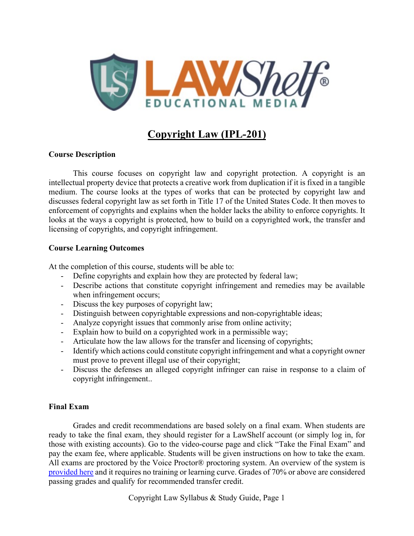

# **Copyright Law (IPL-201)**

### **Course Description**

This course focuses on copyright law and copyright protection. A copyright is an intellectual property device that protects a creative work from duplication if it is fixed in a tangible medium. The course looks at the types of works that can be protected by copyright law and discusses federal copyright law as set forth in Title 17 of the United States Code. It then moves to enforcement of copyrights and explains when the holder lacks the ability to enforce copyrights. It looks at the ways a copyright is protected, how to build on a copyrighted work, the transfer and licensing of copyrights, and copyright infringement.

### **Course Learning Outcomes**

At the completion of this course, students will be able to:

- Define copyrights and explain how they are protected by federal law;
- Describe actions that constitute copyright infringement and remedies may be available when infringement occurs;
- Discuss the key purposes of copyright law;
- Distinguish between copyrightable expressions and non-copyrightable ideas;
- Analyze copyright issues that commonly arise from online activity;
- Explain how to build on a copyrighted work in a permissible way;
- Articulate how the law allows for the transfer and licensing of copyrights;
- Identify which actions could constitute copyright infringement and what a copyright owner must prove to prevent illegal use of their copyright;
- Discuss the defenses an alleged copyright infringer can raise in response to a claim of copyright infringement..

### **Final Exam**

Grades and credit recommendations are based solely on a final exam. When students are ready to take the final exam, they should register for a LawShelf account (or simply log in, for those with existing accounts). Go to the video-course page and click "Take the Final Exam" and pay the exam fee, where applicable. Students will be given instructions on how to take the exam. All exams are proctored by the Voice Proctor® proctoring system. An overview of the system is [provided here](https://lawshelf.com/voiceproctorvideo) and it requires no training or learning curve. Grades of 70% or above are considered passing grades and qualify for recommended transfer credit.

Copyright Law Syllabus & Study Guide, Page 1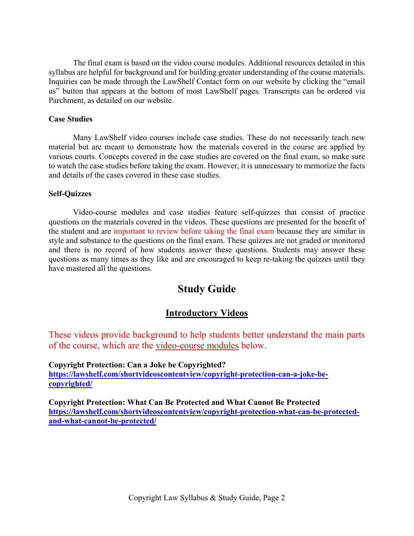The final exam is based on the video course modules. Additional resources detailed in this syllabus are helpful for background and for building greater understanding of the course materials. Inquiries can be made through the LawShelf Contact form on our website by clicking the "email us" button that appears at the bottom of most LawShelf pages. Transcripts can be ordered via Parchment, as detailed on our website.

#### **Case Studies**

Many LawShelf video courses include case studies. These do not necessarily teach new material but are meant to demonstrate how the materials covered in the course are applied by various courts. Concepts covered in the case studies are covered on the final exam, so make sure to watch the case studies before taking the exam. However, it is unnecessary to memorize the facts and details of the cases covered in these case studies.

### **Self-Quizzes**

Video-course modules and case studies feature self-quizzes that consist of practice questions on the materials covered in the videos. These questions are presented for the benefit of the student and are important to review before taking the final exam because they are similar in style and substance to the questions on the final exam. These quizzes are not graded or monitored and there is no record of how students answer these questions. Students may answer these questions as many times as they like and are encouraged to keep re-taking the quizzes until they have mastered all the questions.

## **Study Guide**

## **Introductory Videos**

These videos provide background to help students better understand the main parts of the course, which are the video-course modules below.

**Copyright Protection: Can a Joke be Copyrighted? [https://lawshelf.com/shortvideoscontentview/copyright-protection-can-a-joke-be](https://lawshelf.com/shortvideoscontentview/copyright-protection-can-a-joke-be-copyrighted/)[copyrighted/](https://lawshelf.com/shortvideoscontentview/copyright-protection-can-a-joke-be-copyrighted/)**

**Copyright Protection: What Can Be Protected and What Cannot Be Protected [https://lawshelf.com/shortvideoscontentview/copyright-protection-what-can-be-protected](https://lawshelf.com/shortvideoscontentview/copyright-protection-what-can-be-protected-and-what-cannot-be-protected/)[and-what-cannot-be-protected/](https://lawshelf.com/shortvideoscontentview/copyright-protection-what-can-be-protected-and-what-cannot-be-protected/)**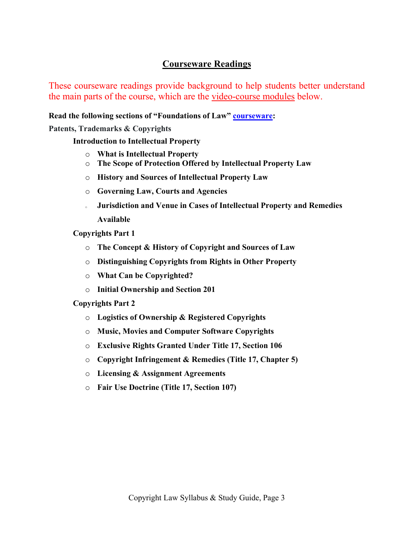## **Courseware Readings**

These courseware readings provide background to help students better understand the main parts of the course, which are the video-course modules below.

**Read the following sections of "Foundations of Law" [courseware:](https://lawshelf.com/coursewareview)**

**Patents, Trademarks & Copyrights**

**Introduction to Intellectual Property**

- o **What is Intellectual Property**
- o **The Scope of Protection Offered by Intellectual Property Law**
- o **History and Sources of Intellectual Property Law**
- o **Governing Law, Courts and Agencies**
- <sup>o</sup> **Jurisdiction and Venue in Cases of Intellectual Property and Remedies Available**
- **Copyrights Part 1**
	- o **The Concept & History of Copyright and Sources of Law**
	- o **Distinguishing Copyrights from Rights in Other Property**
	- o **What Can be Copyrighted?**
	- o **Initial Ownership and Section 201**

### **Copyrights Part 2**

- o **Logistics of Ownership & Registered Copyrights**
- o **Music, Movies and Computer Software Copyrights**
- o **Exclusive Rights Granted Under Title 17, Section 106**
- o **Copyright Infringement & Remedies (Title 17, Chapter 5)**
- o **Licensing & Assignment Agreements**
- o **Fair Use Doctrine (Title 17, Section 107)**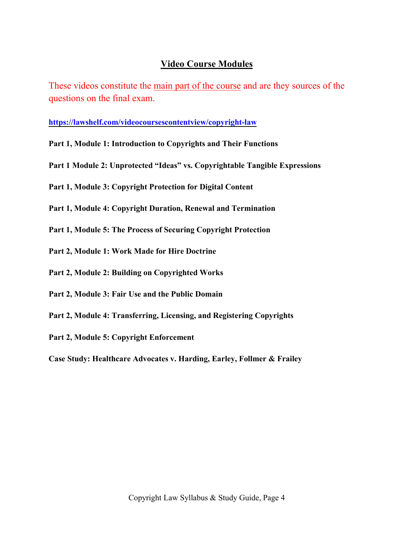## **Video Course Modules**

These videos constitute the main part of the course and are they sources of the questions on the final exam.

**<https://lawshelf.com/videocoursescontentview/copyright-law>**

- **Part 1, Module 1: Introduction to Copyrights and Their Functions**
- **Part 1 Module 2: Unprotected "Ideas" vs. Copyrightable Tangible Expressions**
- **Part 1, Module 3: Copyright Protection for Digital Content**
- **Part 1, Module 4: Copyright Duration, Renewal and Termination**
- **Part 1, Module 5: The Process of Securing Copyright Protection**
- **Part 2, Module 1: Work Made for Hire Doctrine**
- **Part 2, Module 2: Building on Copyrighted Works**
- **Part 2, Module 3: Fair Use and the Public Domain**
- **Part 2, Module 4: Transferring, Licensing, and Registering Copyrights**
- **Part 2, Module 5: Copyright Enforcement**

**Case Study: Healthcare Advocates v. Harding, Earley, Follmer & Frailey**